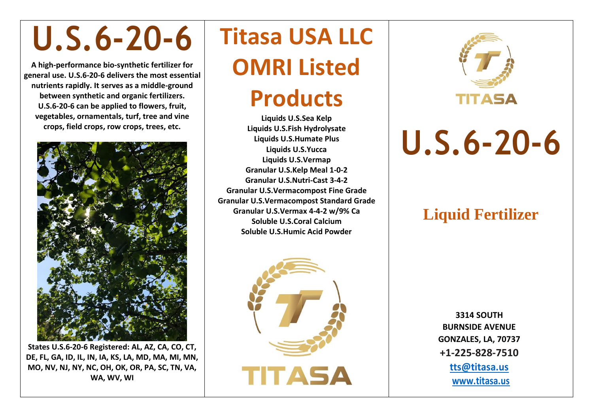# **U.S.6-20-6**

**A high-performance bio-synthetic fertilizer for general use. U.S.6-20-6 delivers the most essential nutrients rapidly. It serves as a middle-ground between synthetic and organic fertilizers. U.S.6-20-6 can be applied to flowers, fruit, vegetables, ornamentals, turf, tree and vine crops, field crops, row crops, trees, etc.** 



**States U.S.6-20-6 Registered: AL, AZ, CA, CO, CT, DE, FL, GA, ID, IL, IN, IA, KS, LA, MD, MA, MI, MN, MO, NV, NJ, NY, NC, OH, OK, OR, PA, SC, TN, VA, WA, WV, WI**

## **Titasa USA LLC OMRI Listed**

## **Products**

**Liquids U.S.Sea Kelp Liquids U.S.Fish Hydrolysate Liquids U.S.Humate Plus Liquids U.S.Yucca Liquids U.S.Vermap Granular U.S.Kelp Meal 1-0-2 Granular U.S.Nutri-Cast 3-4-2 Granular U.S.Vermacompost Fine Grade Granular U.S.Vermacompost Standard Grade Granular U.S.Vermax 4-4-2 w/9% Ca Soluble U.S.Coral Calcium Soluble U.S.Humic Acid Powder**





**U.S.6-20-6**

#### **Liquid Fertilizer**

**3314 SOUTH BURNSIDE AVENUE GONZALES, LA, 70737 +1-225-828-7510 [tts@titasa.us](mailto:tts@titasa.us) [www.titasa.us](http://www.titasa.us/)**